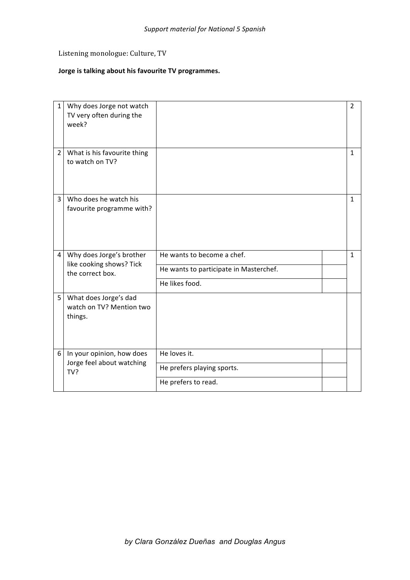## Listening monologue: Culture, TV

## **Jorge is talking about his favourite TV programmes.**

| $\mathbf{1}$   | Why does Jorge not watch<br>TV very often during the<br>week?            |                                        | $\overline{2}$ |
|----------------|--------------------------------------------------------------------------|----------------------------------------|----------------|
| $\overline{2}$ | What is his favourite thing<br>to watch on TV?                           |                                        | 1              |
| 3              | Who does he watch his<br>favourite programme with?                       |                                        | 1              |
| 4              | Why does Jorge's brother<br>like cooking shows? Tick<br>the correct box. | He wants to become a chef.             | $\mathbf{1}$   |
|                |                                                                          | He wants to participate in Masterchef. |                |
|                |                                                                          | He likes food.                         |                |
| 5              | What does Jorge's dad<br>watch on TV? Mention two<br>things.             |                                        |                |
| 6              | In your opinion, how does<br>Jorge feel about watching<br>TV?            | He loves it.                           |                |
|                |                                                                          | He prefers playing sports.             |                |
|                |                                                                          | He prefers to read.                    |                |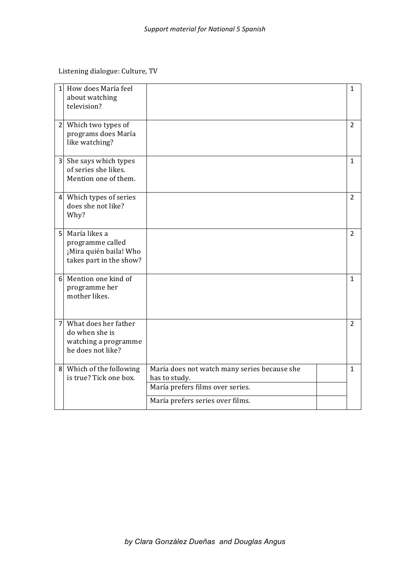Listening dialogue: Culture, TV

| $\mathbf{1}$   | How does María feel<br>about watching<br>television?                                     |                                                                                                                                       | 1              |
|----------------|------------------------------------------------------------------------------------------|---------------------------------------------------------------------------------------------------------------------------------------|----------------|
|                | 2 Which two types of<br>programs does María<br>like watching?                            |                                                                                                                                       | $\overline{2}$ |
|                | 3 She says which types<br>of series she likes.<br>Mention one of them.                   |                                                                                                                                       | 1              |
|                | 4 Which types of series<br>does she not like?<br>Why?                                    |                                                                                                                                       | $\overline{2}$ |
|                | 5 María likes a<br>programme called<br>¡Mira quién baila! Who<br>takes part in the show? |                                                                                                                                       | $\overline{2}$ |
|                | 6 Mention one kind of<br>programme her<br>mother likes.                                  |                                                                                                                                       | 1              |
| $\overline{7}$ | What does her father<br>do when she is<br>watching a programme<br>he does not like?      |                                                                                                                                       | $\overline{2}$ |
|                | 8 Which of the following<br>is true? Tick one box.                                       | María does not watch many series because she<br>has to study.<br>María prefers films over series.<br>María prefers series over films. | $\mathbf{1}$   |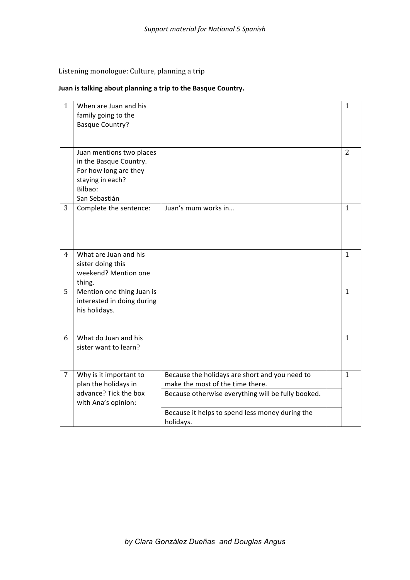Listening monologue: Culture, planning a trip

## **Juan** is talking about planning a trip to the Basque Country.

| $\mathbf{1}$   | When are Juan and his<br>family going to the<br><b>Basque Country?</b>                                                      |                                                                                                                                          | $\mathbf{1}$   |
|----------------|-----------------------------------------------------------------------------------------------------------------------------|------------------------------------------------------------------------------------------------------------------------------------------|----------------|
|                | Juan mentions two places<br>in the Basque Country.<br>For how long are they<br>staying in each?<br>Bilbao:<br>San Sebastián |                                                                                                                                          | $\overline{2}$ |
| 3              | Complete the sentence:                                                                                                      | Juan's mum works in                                                                                                                      | $\mathbf{1}$   |
| $\overline{4}$ | What are Juan and his<br>sister doing this<br>weekend? Mention one<br>thing.                                                |                                                                                                                                          | $\mathbf{1}$   |
| 5              | Mention one thing Juan is<br>interested in doing during<br>his holidays.                                                    |                                                                                                                                          | $\mathbf{1}$   |
| 6              | What do Juan and his<br>sister want to learn?                                                                               |                                                                                                                                          | $\mathbf{1}$   |
| $\overline{7}$ | Why is it important to<br>plan the holidays in<br>advance? Tick the box<br>with Ana's opinion:                              | Because the holidays are short and you need to<br>make the most of the time there.<br>Because otherwise everything will be fully booked. | $\mathbf{1}$   |
|                |                                                                                                                             | Because it helps to spend less money during the<br>holidays.                                                                             |                |